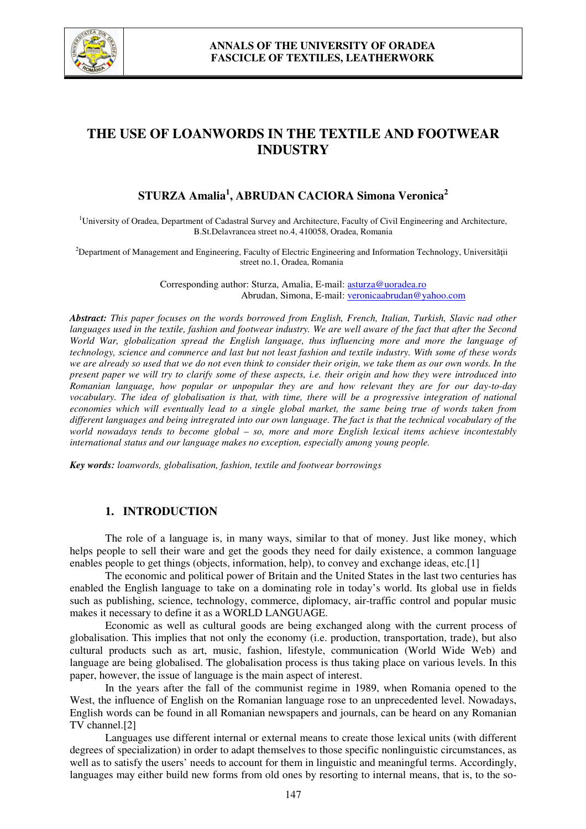

# **THE USE OF LOANWORDS IN THE TEXTILE AND FOOTWEAR INDUSTRY**

# **STURZA Amalia<sup>1</sup> , ABRUDAN CACIORA Simona Veronica<sup>2</sup>**

<sup>1</sup>University of Oradea, Department of Cadastral Survey and Architecture, Faculty of Civil Engineering and Architecture, B.St.Delavrancea street no.4, 410058, Oradea, Romania

<sup>2</sup>Department of Management and Engineering, Faculty of Electric Engineering and Information Technology, Universității street no.1, Oradea, Romania

> Corresponding author: Sturza, Amalia, E-mail: asturza@uoradea.ro Abrudan, Simona, E-mail: veronicaabrudan@yahoo.com

*Abstract: This paper focuses on the words borrowed from English, French, Italian, Turkish, Slavic nad other languages used in the textile, fashion and footwear industry. We are well aware of the fact that after the Second World War, globalization spread the English language, thus influencing more and more the language of technology, science and commerce and last but not least fashion and textile industry. With some of these words we are already so used that we do not even think to consider their origin, we take them as our own words. In the present paper we will try to clarify some of these aspects, i.e. their origin and how they were introduced into Romanian language, how popular or unpopular they are and how relevant they are for our day-to-day vocabulary. The idea of globalisation is that, with time, there will be a progressive integration of national economies which will eventually lead to a single global market, the same being true of words taken from different languages and being intregrated into our own language. The fact is that the technical vocabulary of the world nowadays tends to become global – so, more and more English lexical items achieve incontestably international status and our language makes no exception, especially among young people.* 

*Key words: loanwords, globalisation, fashion, textile and footwear borrowings*

### **1. INTRODUCTION**

The role of a language is, in many ways, similar to that of money. Just like money, which helps people to sell their ware and get the goods they need for daily existence, a common language enables people to get things (objects, information, help), to convey and exchange ideas, etc.[1]

The economic and political power of Britain and the United States in the last two centuries has enabled the English language to take on a dominating role in today's world. Its global use in fields such as publishing, science, technology, commerce, diplomacy, air-traffic control and popular music makes it necessary to define it as a WORLD LANGUAGE.

Economic as well as cultural goods are being exchanged along with the current process of globalisation. This implies that not only the economy (i.e. production, transportation, trade), but also cultural products such as art, music, fashion, lifestyle, communication (World Wide Web) and language are being globalised. The globalisation process is thus taking place on various levels. In this paper, however, the issue of language is the main aspect of interest.

In the years after the fall of the communist regime in 1989, when Romania opened to the West, the influence of English on the Romanian language rose to an unprecedented level. Nowadays, English words can be found in all Romanian newspapers and journals, can be heard on any Romanian TV channel.[2]

Languages use different internal or external means to create those lexical units (with different degrees of specialization) in order to adapt themselves to those specific nonlinguistic circumstances, as well as to satisfy the users' needs to account for them in linguistic and meaningful terms. Accordingly, languages may either build new forms from old ones by resorting to internal means, that is, to the so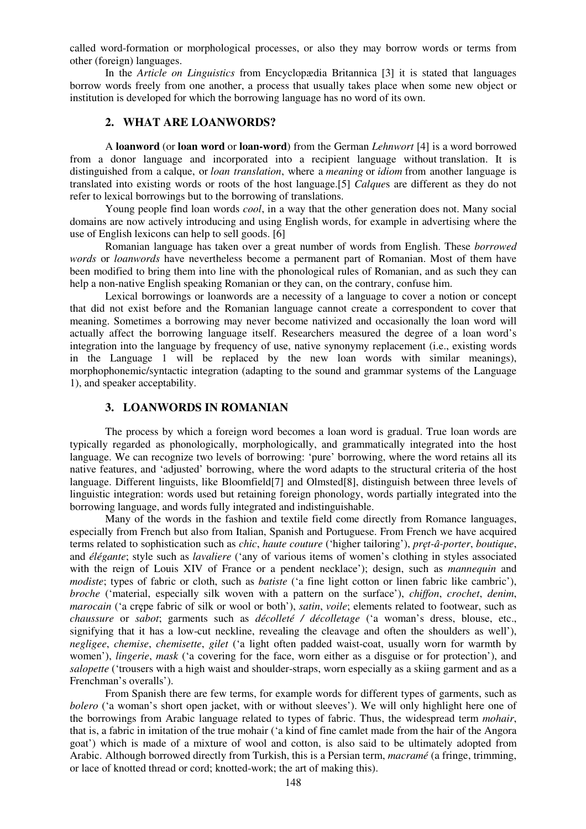called word-formation or morphological processes, or also they may borrow words or terms from other (foreign) languages.

In the *Article on Linguistics* from Encyclopædia Britannica [3] it is stated that languages borrow words freely from one another, a process that usually takes place when some new object or institution is developed for which the borrowing language has no word of its own.

### **2. WHAT ARE LOANWORDS?**

A **loanword** (or **loan word** or **loan-word**) from the German *Lehnwort* [4] is a word borrowed from a donor language and incorporated into a recipient language without translation. It is distinguished from a calque, or *loan translation*, where a *meaning* or *idiom* from another language is translated into existing words or roots of the host language.[5] *Calque*s are different as they do not refer to lexical borrowings but to the borrowing of translations.

Young people find loan words *cool*, in a way that the other generation does not. Many social domains are now actively introducing and using English words, for example in advertising where the use of English lexicons can help to sell goods. [6]

Romanian language has taken over a great number of words from English. These *borrowed words* or *loanwords* have nevertheless become a permanent part of Romanian. Most of them have been modified to bring them into line with the phonological rules of Romanian, and as such they can help a non-native English speaking Romanian or they can, on the contrary, confuse him.

Lexical borrowings or loanwords are a necessity of a language to cover a notion or concept that did not exist before and the Romanian language cannot create a correspondent to cover that meaning. Sometimes a borrowing may never become nativized and occasionally the loan word will actually affect the borrowing language itself. Researchers measured the degree of a loan word's integration into the language by frequency of use, native synonymy replacement (i.e., existing words in the Language 1 will be replaced by the new loan words with similar meanings), morphophonemic/syntactic integration (adapting to the sound and grammar systems of the Language 1), and speaker acceptability.

# **3. LOANWORDS IN ROMANIAN**

The process by which a foreign word becomes a loan word is gradual. True loan words are typically regarded as phonologically, morphologically, and grammatically integrated into the host language. We can recognize two levels of borrowing: 'pure' borrowing, where the word retains all its native features, and 'adjusted' borrowing, where the word adapts to the structural criteria of the host language. Different linguists, like Bloomfield[7] and Olmsted[8], distinguish between three levels of linguistic integration: words used but retaining foreign phonology, words partially integrated into the borrowing language, and words fully integrated and indistinguishable.

Many of the words in the fashion and textile field come directly from Romance languages, especially from French but also from Italian, Spanish and Portuguese. From French we have acquired terms related to sophistication such as *chic*, *haute couture* ('higher tailoring'), *pręt-â-porter*, *boutique*, and *élégante*; style such as *lavaliere* ('any of various items of women's clothing in styles associated with the reign of Louis XIV of France or a pendent necklace'); design, such as *mannequin* and *modiste*; types of fabric or cloth, such as *batiste* ('a fine light cotton or linen fabric like cambric'), *broche* ('material, especially silk woven with a pattern on the surface'), *chiffon*, *crochet*, *denim*, *marocain* ('a crępe fabric of silk or wool or both'), *satin*, *voile*; elements related to footwear, such as *chaussure* or *sabot*; garments such as *décolleté / décolletage* ('a woman's dress, blouse, etc., signifying that it has a low-cut neckline, revealing the cleavage and often the shoulders as well'), *negligee*, *chemise*, *chemisette*, *gilet* ('a light often padded waist-coat, usually worn for warmth by women'), *lingerie*, *mask* ('a covering for the face, worn either as a disguise or for protection'), and *salopette* ('trousers with a high waist and shoulder-straps, worn especially as a skiing garment and as a Frenchman's overalls').

From Spanish there are few terms, for example words for different types of garments, such as *bolero* ('a woman's short open jacket, with or without sleeves'). We will only highlight here one of the borrowings from Arabic language related to types of fabric. Thus, the widespread term *mohair*, that is, a fabric in imitation of the true mohair ('a kind of fine camlet made from the hair of the Angora goat') which is made of a mixture of wool and cotton, is also said to be ultimately adopted from Arabic. Although borrowed directly from Turkish, this is a Persian term, *macramé* (a fringe, trimming, or lace of knotted thread or cord; knotted-work; the art of making this).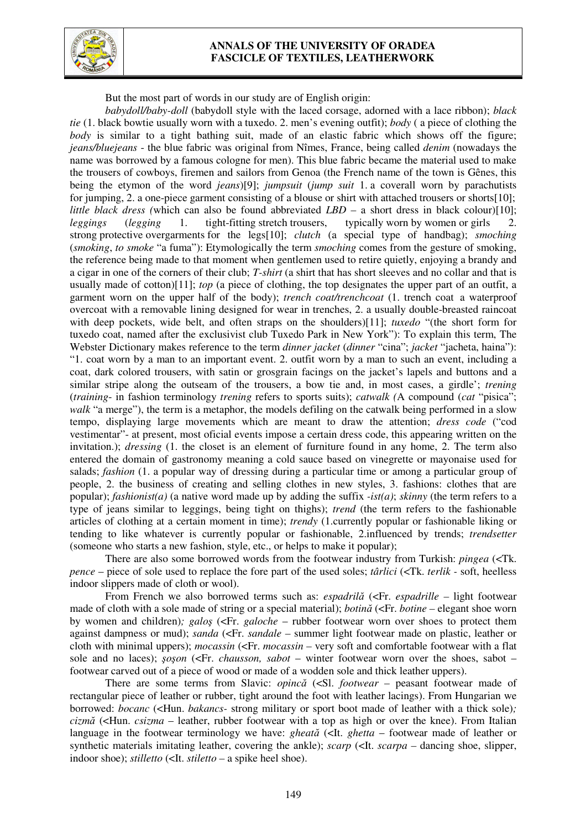

## **ANNALS OF THE UNIVERSITY OF ORADEA FASCICLE OF TEXTILES, LEATHERWORK**

But the most part of words in our study are of English origin:

*babydoll/baby-doll* (babydoll style with the laced corsage, adorned with a lace ribbon); *black tie* (1. black bowtie usually worn with a tuxedo. 2. men's evening outfit); *body* ( a piece of clothing the *body* is similar to a tight bathing suit, made of an elastic fabric which shows off the figure; *jeans/bluejeans* - the blue fabric was original from Nîmes, France, being called *denim* (nowadays the name was borrowed by a famous cologne for men). This blue fabric became the material used to make the trousers of cowboys, firemen and sailors from Genoa (the French name of the town is Gênes, this being the etymon of the word *jeans*)[9]; *jumpsuit* (*jump suit* 1. a coverall worn by parachutists for jumping, 2. a one-piece garment consisting of a blouse or shirt with attached trousers or shorts[10]; *little black dress (*which can also be found abbreviated *LBD –* a short dress in black colour)[10]; *leggings* (*legging* 1. tight-fitting stretch trousers, typically worn by women or girls 2. strong protective overgarments for the legs[10]; *clutch* (a special type of handbag); *smoching* (*smoking*, *to smoke* "a fuma"): Etymologically the term *smoching* comes from the gesture of smoking, the reference being made to that moment when gentlemen used to retire quietly, enjoying a brandy and a cigar in one of the corners of their club; *T-shirt* (a shirt that has short sleeves and no collar and that is usually made of cotton)[11]; *top* (a piece of clothing, the top designates the upper part of an outfit, a garment worn on the upper half of the body); *trench coat/trenchcoat* (1. trench coat a waterproof overcoat with a removable lining designed for wear in trenches, 2. a usually double-breasted raincoat with deep pockets, wide belt, and often straps on the shoulders)[11]; *tuxedo* "(the short form for tuxedo coat, named after the exclusivist club Tuxedo Park in New York"): To explain this term, The Webster Dictionary makes reference to the term *dinner jacket* (*dinner* "cina"; *jacket* "jacheta, haina"): "1. coat worn by a man to an important event. 2. outfit worn by a man to such an event, including a coat, dark colored trousers, with satin or grosgrain facings on the jacket's lapels and buttons and a similar stripe along the outseam of the trousers, a bow tie and, in most cases, a girdle'; *trening*  (*training*- in fashion terminology *trening* refers to sports suits); *catwalk (*A compound (*cat* "pisica"; *walk* "a merge"), the term is a metaphor, the models defiling on the catwalk being performed in a slow tempo, displaying large movements which are meant to draw the attention; *dress code* ("cod vestimentar"- at present, most oficial events impose a certain dress code, this appearing written on the invitation.); *dressing* (1. the closet is an element of furniture found in any home, 2. The term also entered the domain of gastronomy meaning a cold sauce based on vinegrette or mayonaise used for salads; *fashion* (1. a popular way of dressing during a particular time or among a particular group of people, 2. the business of creating and selling clothes in new styles, 3. fashions: clothes that are popular); *fashionist(a)* (a native word made up by adding the suffix *-ist(a)*; *skinny* (the term refers to a type of jeans similar to leggings, being tight on thighs); *trend* (the term refers to the fashionable articles of clothing at a certain moment in time); *trendy* (1.currently popular or fashionable liking or tending to like whatever is currently popular or fashionable, 2.influenced by trends; *trendsetter*  (someone who starts a new fashion, style, etc., or helps to make it popular);

There are also some borrowed words from the footwear industry from Turkish: *pingea* (<Tk. *pence* – piece of sole used to replace the fore part of the used soles; *târlici* (<Tk. *terlik -* soft, heelless indoor slippers made of cloth or wool).

From French we also borrowed terms such as: *espadrilă* (<Fr. *espadrille –* light footwear made of cloth with a sole made of string or a special material); *botină* (<Fr. *botine –* elegant shoe worn by women and children)*; galoş* (<Fr. *galoche* – rubber footwear worn over shoes to protect them against dampness or mud); *sanda* (<Fr. *sandale –* summer light footwear made on plastic, leather or cloth with minimal uppers); *mocassin* (<Fr. *mocassin –* very soft and comfortable footwear with a flat sole and no laces); *şoşon* (<Fr. *chausson, sabot* – winter footwear worn over the shoes, sabot – footwear carved out of a piece of wood or made of a wodden sole and thick leather uppers).

There are some terms from Slavic: *opincă* (<Sl. *footwear –* peasant footwear made of rectangular piece of leather or rubber, tight around the foot with leather lacings). From Hungarian we borrowed: *bocanc* (<Hun. *bakancs-* strong military or sport boot made of leather with a thick sole)*; cizmă* (<Hun. *csizma* – leather, rubber footwear with a top as high or over the knee). From Italian language in the footwear terminology we have: *gheată* (<It. *ghetta* – footwear made of leather or synthetic materials imitating leather, covering the ankle); *scarp* (<It. *scarpa –* dancing shoe, slipper, indoor shoe); *stilletto* (<It. *stiletto –* a spike heel shoe).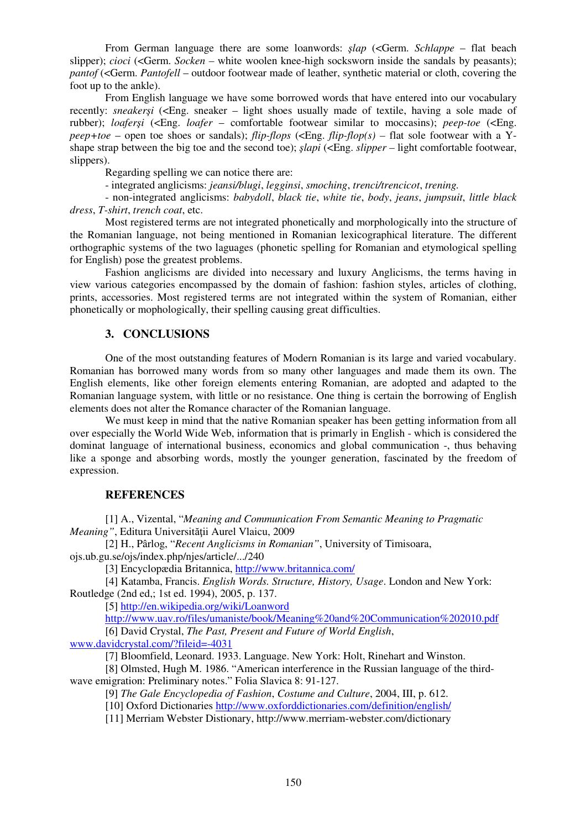From German language there are some loanwords: *şlap* (<Germ. *Schlappe* – flat beach slipper); *cioci* (<Germ. *Socken* – white woolen knee-high socksworn inside the sandals by peasants); *pantof* (<Germ. *Pantofell* – outdoor footwear made of leather, synthetic material or cloth, covering the foot up to the ankle).

From English language we have some borrowed words that have entered into our vocabulary recently: *sneakersi* (<Eng. sneaker – light shoes usually made of textile, having a sole made of rubber); *loaferşi* (<Eng. *loafer* – comfortable footwear similar to moccasins); *peep-toe* (<Eng.  $pee + toe$  – open toe shoes or sandals); *flip-flops* (<Eng. *flip-flop(s)* – flat sole footwear with a Yshape strap between the big toe and the second toe); *şlapi* (<Eng. *slipper –* light comfortable footwear, slippers).

Regarding spelling we can notice there are:

- integrated anglicisms: *jeansi/blugi*, *legginsi*, *smoching*, *trenci/trencicot*, *trening.* 

- non-integrated anglicisms: *babydoll*, *black tie*, *white tie*, *body*, *jeans*, *jumpsuit*, *little black dress*, *T-shirt*, *trench coat*, etc.

Most registered terms are not integrated phonetically and morphologically into the structure of the Romanian language, not being mentioned in Romanian lexicographical literature. The different orthographic systems of the two laguages (phonetic spelling for Romanian and etymological spelling for English) pose the greatest problems.

Fashion anglicisms are divided into necessary and luxury Anglicisms, the terms having in view various categories encompassed by the domain of fashion: fashion styles, articles of clothing, prints, accessories. Most registered terms are not integrated within the system of Romanian, either phonetically or mophologically, their spelling causing great difficulties.

# **3. CONCLUSIONS**

One of the most outstanding features of Modern Romanian is its large and varied vocabulary. Romanian has borrowed many words from so many other languages and made them its own. The English elements, like other foreign elements entering Romanian, are adopted and adapted to the Romanian language system, with little or no resistance. One thing is certain the borrowing of English elements does not alter the Romance character of the Romanian language.

 We must keep in mind that the native Romanian speaker has been getting information from all over especially the World Wide Web, information that is primarly in English - which is considered the dominat language of international business, economics and global communication -, thus behaving like a sponge and absorbing words, mostly the younger generation, fascinated by the freedom of expression.

### **REFERENCES**

[1] A., Vizental, "*Meaning and Communication From Semantic Meaning to Pragmatic Meaning"*, Editura Universităţii Aurel Vlaicu, 2009

[2] H., Pârlog, "*Recent Anglicisms in Romanian"*, University of Timisoara, ojs.ub.gu.se/ojs/index.php/njes/article/.../240

[3] Encyclopædia Britannica, http://www.britannica.com/

[4] Katamba, Francis. *English Words. Structure, History, Usage*. London and New York: Routledge (2nd ed,; 1st ed. 1994), 2005, p. 137.

[5] http://en.wikipedia.org/wiki/Loanword

http://www.uav.ro/files/umaniste/book/Meaning%20and%20Communication%202010.pdf [6] David Crystal, *The Past, Present and Future of World English*,

www.davidcrystal.com/?fileid=-4031

[7] Bloomfield, Leonard. 1933. Language. New York: Holt, Rinehart and Winston.

 [8] Olmsted, Hugh M. 1986. "American interference in the Russian language of the thirdwave emigration: Preliminary notes." Folia Slavica 8: 91-127.

[9] *The Gale Encyclopedia of Fashion*, *Costume and Culture*, 2004, III, p. 612.

[10] Oxford Dictionaries http://www.oxforddictionaries.com/definition/english/

[11] Merriam Webster Distionary, http://www.merriam-webster.com/dictionary